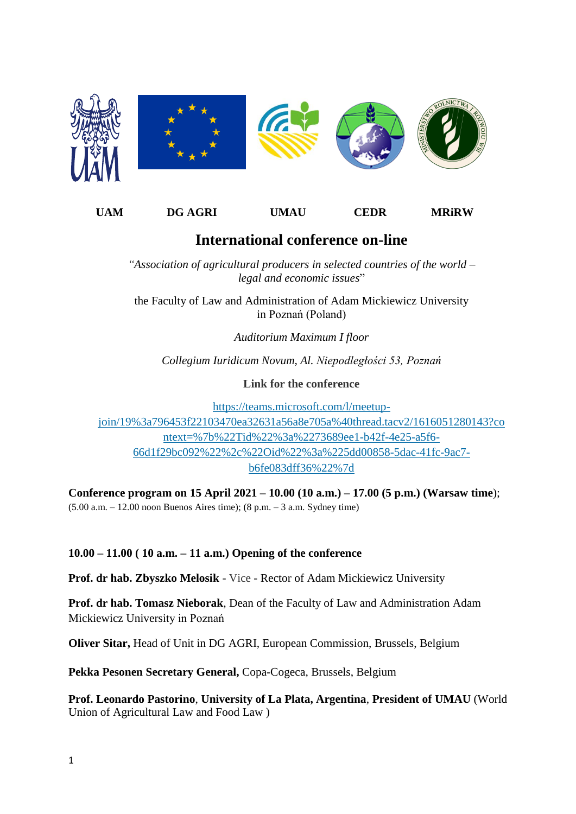

## **UAM DG AGRI UMAU CEDR MRiRW**

## **International conference on-line**

*"Association of agricultural producers in selected countries of the world – legal and economic issues*"

the Faculty of Law and Administration of Adam Mickiewicz University in Poznań (Poland)

*Auditorium Maximum I floor*

*Collegium Iuridicum Novum, Al. Niepodległości 53, Poznań*

**Link for the conference**

[https://teams.microsoft.com/l/meetup](https://teams.microsoft.com/l/meetup-join/19%3a796453f22103470ea32631a56a8e705a%40thread.tacv2/1616051280143?context=%7b%22Tid%22%3a%2273689ee1-b42f-4e25-a5f6-66d1f29bc092%22%2c%22Oid%22%3a%225dd00858-5dac-41fc-9ac7-b6fe083dff36%22%7d)[join/19%3a796453f22103470ea32631a56a8e705a%40thread.tacv2/1616051280143?co](https://teams.microsoft.com/l/meetup-join/19%3a796453f22103470ea32631a56a8e705a%40thread.tacv2/1616051280143?context=%7b%22Tid%22%3a%2273689ee1-b42f-4e25-a5f6-66d1f29bc092%22%2c%22Oid%22%3a%225dd00858-5dac-41fc-9ac7-b6fe083dff36%22%7d) [ntext=%7b%22Tid%22%3a%2273689ee1-b42f-4e25-a5f6-](https://teams.microsoft.com/l/meetup-join/19%3a796453f22103470ea32631a56a8e705a%40thread.tacv2/1616051280143?context=%7b%22Tid%22%3a%2273689ee1-b42f-4e25-a5f6-66d1f29bc092%22%2c%22Oid%22%3a%225dd00858-5dac-41fc-9ac7-b6fe083dff36%22%7d) [66d1f29bc092%22%2c%22Oid%22%3a%225dd00858-5dac-41fc-9ac7](https://teams.microsoft.com/l/meetup-join/19%3a796453f22103470ea32631a56a8e705a%40thread.tacv2/1616051280143?context=%7b%22Tid%22%3a%2273689ee1-b42f-4e25-a5f6-66d1f29bc092%22%2c%22Oid%22%3a%225dd00858-5dac-41fc-9ac7-b6fe083dff36%22%7d) [b6fe083dff36%22%7d](https://teams.microsoft.com/l/meetup-join/19%3a796453f22103470ea32631a56a8e705a%40thread.tacv2/1616051280143?context=%7b%22Tid%22%3a%2273689ee1-b42f-4e25-a5f6-66d1f29bc092%22%2c%22Oid%22%3a%225dd00858-5dac-41fc-9ac7-b6fe083dff36%22%7d)

**Conference program on 15 April 2021 – 10.00 (10 a.m.) – 17.00 (5 p.m.) (Warsaw time**); (5.00 a.m. – 12.00 noon Buenos Aires time); (8 p.m. – 3 a.m. Sydney time)

**10.00 – 11.00 ( 10 a.m. – 11 a.m.) Opening of the conference**

**Prof. dr hab. Zbyszko Melosik -** Vice **-** Rector of Adam Mickiewicz University

**Prof. dr hab. Tomasz Nieborak**, Dean of the Faculty of Law and Administration Adam Mickiewicz University in Poznań

**Oliver Sitar,** Head of Unit in DG AGRI, European Commission, Brussels, Belgium

**Pekka Pesonen Secretary General,** Copa-Cogeca, Brussels, Belgium

**Prof. Leonardo Pastorino**, **University of La Plata, Argentina**, **President of UMAU** (World Union of Agricultural Law and Food Law )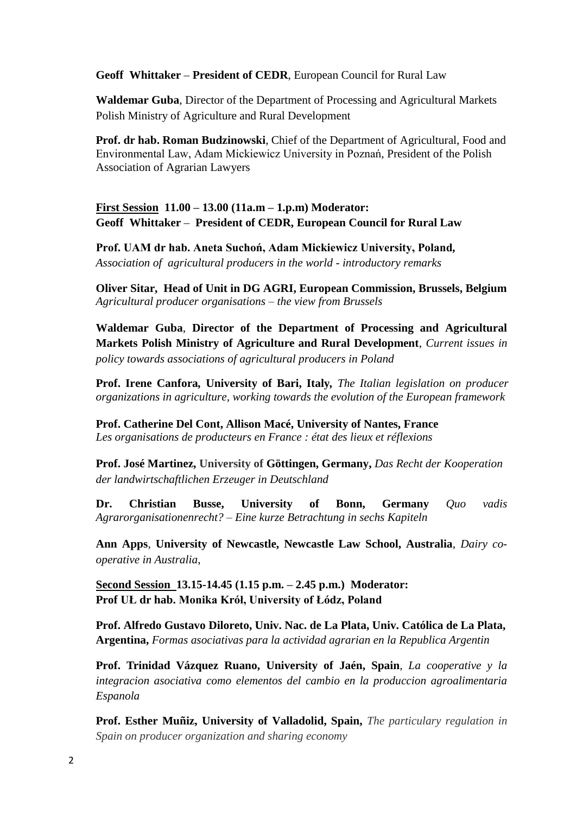## **Geoff Whittaker – President of CEDR**, European Council for Rural Law

**Waldemar Guba**, Director of the Department of Processing and Agricultural Markets Polish Ministry of Agriculture and Rural Development

**Prof. dr hab. Roman Budzinowski**, Chief of the Department of Agricultural, Food and Environmental Law, Adam Mickiewicz University in Poznań, President of the Polish Association of Agrarian Lawyers

## **First Session 11.00 – 13.00 (11a.m – 1.p.m) Moderator: Geoff Whittaker – President of CEDR, European Council for Rural Law**

**Prof. UAM dr hab. Aneta Suchoń, Adam Mickiewicz University, Poland***, Association of agricultural producers in the world - introductory remarks*

**Oliver Sitar, Head of Unit in DG AGRI, European Commission, Brussels, Belgium** *Agricultural producer organisations – the view from Brussels*

**Waldemar Guba**, **Director of the Department of Processing and Agricultural Markets Polish Ministry of Agriculture and Rural Development**, *Current issues in policy towards associations of agricultural producers in Poland*

**Prof. Irene Canfora***,* **University of Bari, Italy***, The Italian legislation on producer organizations in agriculture, working towards the evolution of the European framework* 

**Prof. Catherine Del Cont, Allison Macé, University of Nantes, France** *Les organisations de producteurs en France : état des lieux et réflexions*

**Prof. José Martinez, University of Göttingen, Germany,** *Das Recht der Kooperation der landwirtschaftlichen Erzeuger in Deutschland* 

**Dr. Christian Busse, University of Bonn, Germany** *Quo vadis Agrarorganisationenrecht? – Eine kurze Betrachtung in sechs Kapiteln*

**Ann Apps***,* **University of Newcastle, Newcastle Law School, Australia**, *Dairy cooperative in Australia*,

**Second Session 13.15-14.45 (1.15 p.m. – 2.45 p.m.) Moderator: Prof UŁ dr hab. Monika Krół, University of Łódz, Poland** 

**Prof. Alfredo Gustavo Diloreto, Univ. Nac. de La Plata, Univ. Católica de La Plata, Argentina,** *Formas asociativas para la actividad agrarian en la Republica Argentin*

**Prof. Trinidad Vázquez Ruano, University of Jaén, Spain***, La cooperative y la integracion asociativa como elementos del cambio en la produccion agroalimentaria Espanola*

**Prof. Esther Muñiz, University of Valladolid, Spain,** *The particulary regulation in Spain on producer organization and sharing economy*